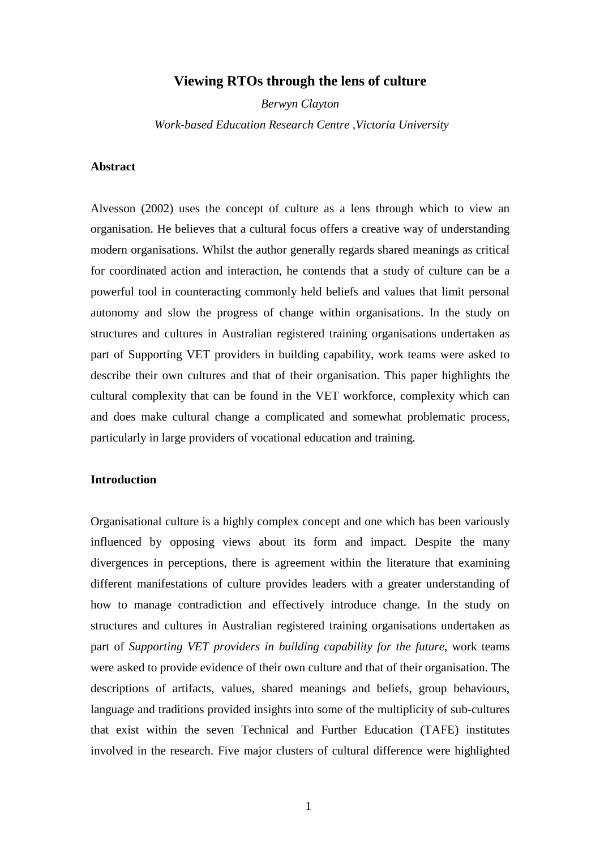# **Viewing RTOs through the lens of culture**

*Berwyn Clayton Work-based Education Research Centre ,Victoria University*

# **Abstract**

Alvesson (2002) uses the concept of culture as a lens through which to view an organisation. He believes that a cultural focus offers a creative way of understanding modern organisations. Whilst the author generally regards shared meanings as critical for coordinated action and interaction, he contends that a study of culture can be a powerful tool in counteracting commonly held beliefs and values that limit personal autonomy and slow the progress of change within organisations. In the study on structures and cultures in Australian registered training organisations undertaken as part of Supporting VET providers in building capability, work teams were asked to describe their own cultures and that of their organisation. This paper highlights the cultural complexity that can be found in the VET workforce, complexity which can and does make cultural change a complicated and somewhat problematic process, particularly in large providers of vocational education and training.

# **Introduction**

Organisational culture is a highly complex concept and one which has been variously influenced by opposing views about its form and impact. Despite the many divergences in perceptions, there is agreement within the literature that examining different manifestations of culture provides leaders with a greater understanding of how to manage contradiction and effectively introduce change. In the study on structures and cultures in Australian registered training organisations undertaken as part of *Supporting VET providers in building capability for the future*, work teams were asked to provide evidence of their own culture and that of their organisation. The descriptions of artifacts, values, shared meanings and beliefs, group behaviours, language and traditions provided insights into some of the multiplicity of sub-cultures that exist within the seven Technical and Further Education (TAFE) institutes involved in the research. Five major clusters of cultural difference were highlighted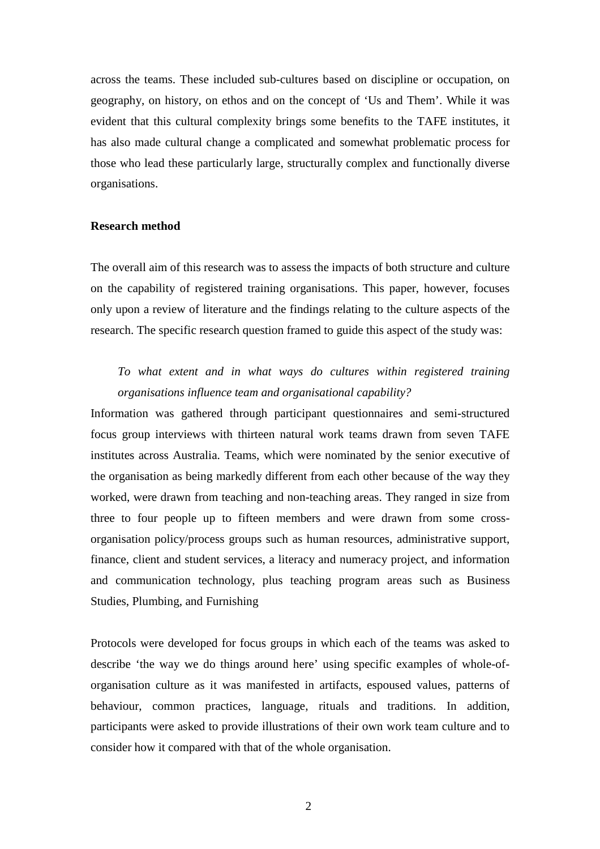across the teams. These included sub-cultures based on discipline or occupation, on geography, on history, on ethos and on the concept of 'Us and Them'. While it was evident that this cultural complexity brings some benefits to the TAFE institutes, it has also made cultural change a complicated and somewhat problematic process for those who lead these particularly large, structurally complex and functionally diverse organisations.

#### **Research method**

The overall aim of this research was to assess the impacts of both structure and culture on the capability of registered training organisations. This paper, however, focuses only upon a review of literature and the findings relating to the culture aspects of the research. The specific research question framed to guide this aspect of the study was:

# *To what extent and in what ways do cultures within registered training organisations influence team and organisational capability?*

Information was gathered through participant questionnaires and semi-structured focus group interviews with thirteen natural work teams drawn from seven TAFE institutes across Australia. Teams, which were nominated by the senior executive of the organisation as being markedly different from each other because of the way they worked, were drawn from teaching and non-teaching areas. They ranged in size from three to four people up to fifteen members and were drawn from some crossorganisation policy/process groups such as human resources, administrative support, finance, client and student services, a literacy and numeracy project, and information and communication technology, plus teaching program areas such as Business Studies, Plumbing, and Furnishing

Protocols were developed for focus groups in which each of the teams was asked to describe 'the way we do things around here' using specific examples of whole-oforganisation culture as it was manifested in artifacts, espoused values, patterns of behaviour, common practices, language, rituals and traditions. In addition, participants were asked to provide illustrations of their own work team culture and to consider how it compared with that of the whole organisation.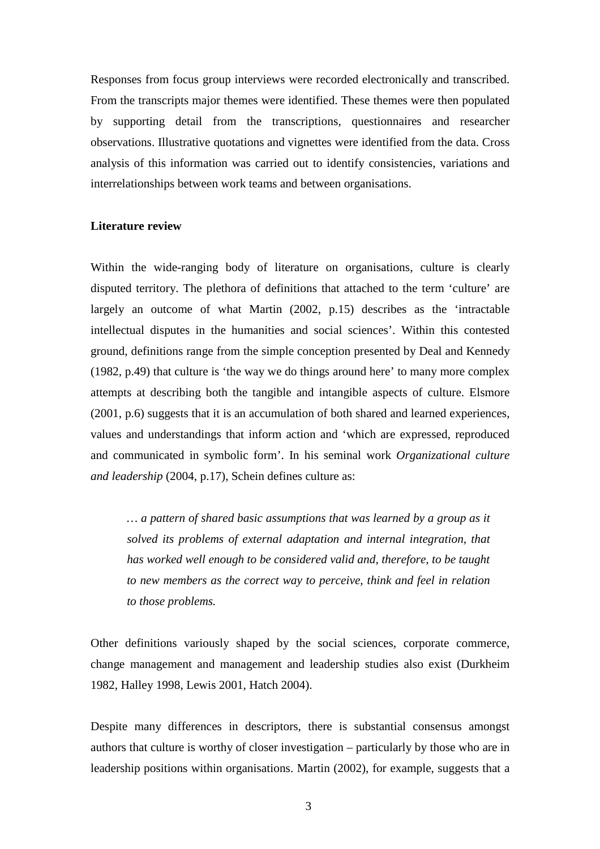Responses from focus group interviews were recorded electronically and transcribed. From the transcripts major themes were identified. These themes were then populated by supporting detail from the transcriptions, questionnaires and researcher observations. Illustrative quotations and vignettes were identified from the data. Cross analysis of this information was carried out to identify consistencies, variations and interrelationships between work teams and between organisations.

#### **Literature review**

Within the wide-ranging body of literature on organisations, culture is clearly disputed territory. The plethora of definitions that attached to the term 'culture' are largely an outcome of what Martin (2002, p.15) describes as the 'intractable intellectual disputes in the humanities and social sciences'. Within this contested ground, definitions range from the simple conception presented by Deal and Kennedy (1982, p.49) that culture is 'the way we do things around here' to many more complex attempts at describing both the tangible and intangible aspects of culture. Elsmore (2001, p.6) suggests that it is an accumulation of both shared and learned experiences, values and understandings that inform action and 'which are expressed, reproduced and communicated in symbolic form'. In his seminal work *Organizational culture and leadership* (2004, p.17), Schein defines culture as:

*… a pattern of shared basic assumptions that was learned by a group as it solved its problems of external adaptation and internal integration, that has worked well enough to be considered valid and, therefore, to be taught to new members as the correct way to perceive, think and feel in relation to those problems.*

Other definitions variously shaped by the social sciences, corporate commerce, change management and management and leadership studies also exist (Durkheim 1982, Halley 1998, Lewis 2001, Hatch 2004).

Despite many differences in descriptors, there is substantial consensus amongst authors that culture is worthy of closer investigation – particularly by those who are in leadership positions within organisations. Martin (2002), for example, suggests that a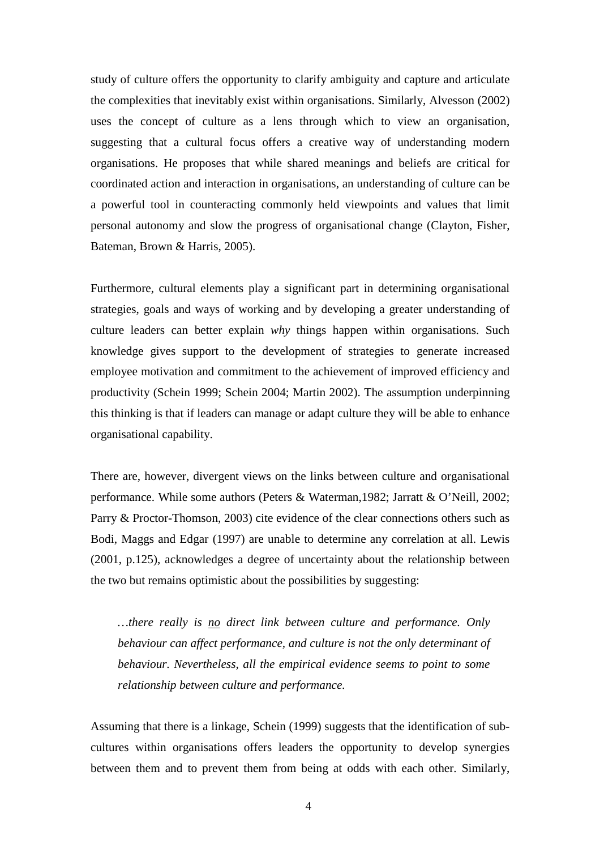study of culture offers the opportunity to clarify ambiguity and capture and articulate the complexities that inevitably exist within organisations. Similarly, Alvesson (2002) uses the concept of culture as a lens through which to view an organisation, suggesting that a cultural focus offers a creative way of understanding modern organisations. He proposes that while shared meanings and beliefs are critical for coordinated action and interaction in organisations, an understanding of culture can be a powerful tool in counteracting commonly held viewpoints and values that limit personal autonomy and slow the progress of organisational change (Clayton, Fisher, Bateman, Brown & Harris, 2005).

Furthermore, cultural elements play a significant part in determining organisational strategies, goals and ways of working and by developing a greater understanding of culture leaders can better explain *why* things happen within organisations. Such knowledge gives support to the development of strategies to generate increased employee motivation and commitment to the achievement of improved efficiency and productivity (Schein 1999; Schein 2004; Martin 2002). The assumption underpinning this thinking is that if leaders can manage or adapt culture they will be able to enhance organisational capability.

There are, however, divergent views on the links between culture and organisational performance. While some authors (Peters & Waterman,1982; Jarratt & O'Neill, 2002; Parry & Proctor-Thomson, 2003) cite evidence of the clear connections others such as Bodi, Maggs and Edgar (1997) are unable to determine any correlation at all. Lewis (2001, p.125), acknowledges a degree of uncertainty about the relationship between the two but remains optimistic about the possibilities by suggesting:

*…there really is no direct link between culture and performance. Only behaviour can affect performance, and culture is not the only determinant of behaviour. Nevertheless, all the empirical evidence seems to point to some relationship between culture and performance.* 

Assuming that there is a linkage, Schein (1999) suggests that the identification of subcultures within organisations offers leaders the opportunity to develop synergies between them and to prevent them from being at odds with each other. Similarly,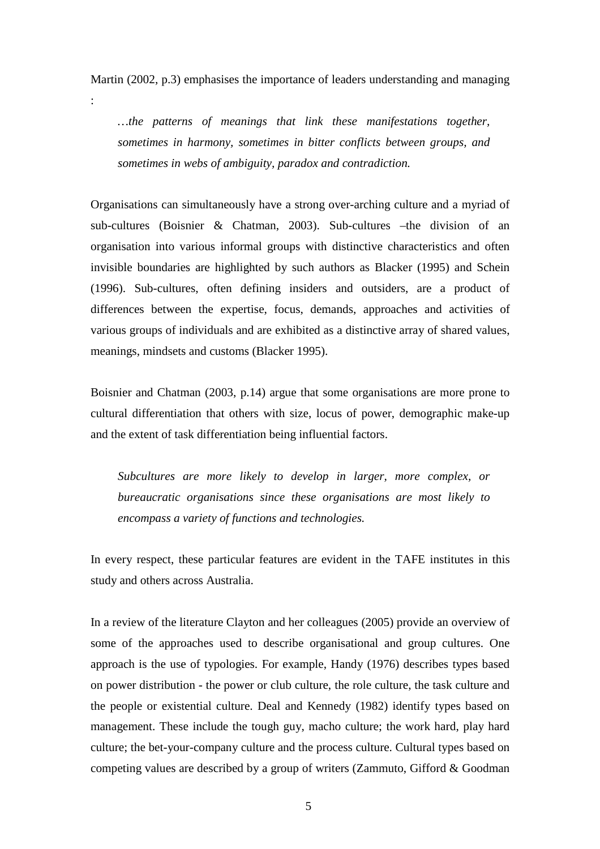Martin (2002, p.3) emphasises the importance of leaders understanding and managing

:

*…the patterns of meanings that link these manifestations together, sometimes in harmony, sometimes in bitter conflicts between groups, and sometimes in webs of ambiguity, paradox and contradiction.* 

Organisations can simultaneously have a strong over-arching culture and a myriad of sub-cultures (Boisnier & Chatman, 2003). Sub-cultures –the division of an organisation into various informal groups with distinctive characteristics and often invisible boundaries are highlighted by such authors as Blacker (1995) and Schein (1996). Sub-cultures, often defining insiders and outsiders, are a product of differences between the expertise, focus, demands, approaches and activities of various groups of individuals and are exhibited as a distinctive array of shared values, meanings, mindsets and customs (Blacker 1995).

Boisnier and Chatman (2003, p.14) argue that some organisations are more prone to cultural differentiation that others with size, locus of power, demographic make-up and the extent of task differentiation being influential factors.

*Subcultures are more likely to develop in larger, more complex, or bureaucratic organisations since these organisations are most likely to encompass a variety of functions and technologies.* 

In every respect, these particular features are evident in the TAFE institutes in this study and others across Australia.

In a review of the literature Clayton and her colleagues (2005) provide an overview of some of the approaches used to describe organisational and group cultures. One approach is the use of typologies. For example, Handy (1976) describes types based on power distribution - the power or club culture, the role culture, the task culture and the people or existential culture. Deal and Kennedy (1982) identify types based on management. These include the tough guy, macho culture; the work hard, play hard culture; the bet-your-company culture and the process culture. Cultural types based on competing values are described by a group of writers (Zammuto, Gifford & Goodman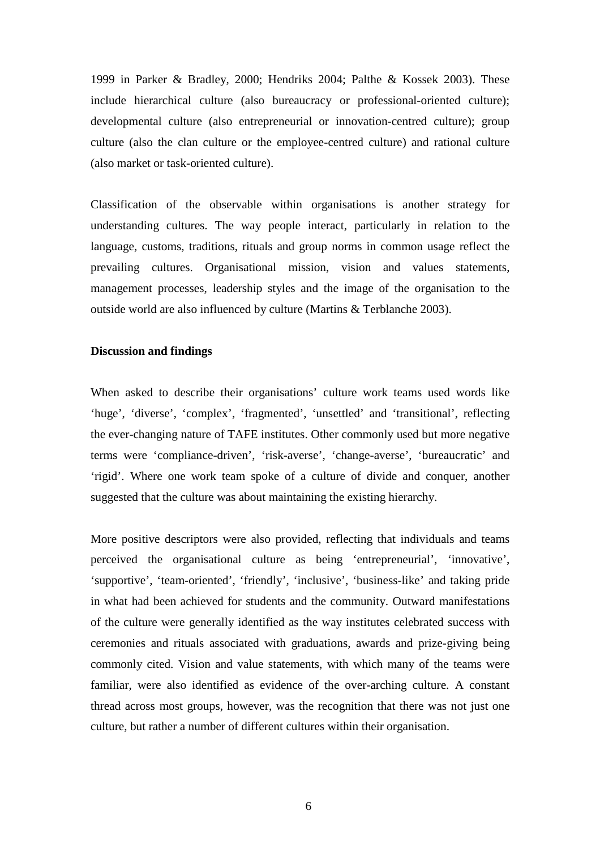1999 in Parker & Bradley, 2000; Hendriks 2004; Palthe & Kossek 2003). These include hierarchical culture (also bureaucracy or professional-oriented culture); developmental culture (also entrepreneurial or innovation-centred culture); group culture (also the clan culture or the employee-centred culture) and rational culture (also market or task-oriented culture).

Classification of the observable within organisations is another strategy for understanding cultures. The way people interact, particularly in relation to the language, customs, traditions, rituals and group norms in common usage reflect the prevailing cultures. Organisational mission, vision and values statements, management processes, leadership styles and the image of the organisation to the outside world are also influenced by culture (Martins & Terblanche 2003).

## **Discussion and findings**

When asked to describe their organisations' culture work teams used words like 'huge', 'diverse', 'complex', 'fragmented', 'unsettled' and 'transitional', reflecting the ever-changing nature of TAFE institutes. Other commonly used but more negative terms were 'compliance-driven', 'risk-averse', 'change-averse', 'bureaucratic' and 'rigid'. Where one work team spoke of a culture of divide and conquer, another suggested that the culture was about maintaining the existing hierarchy.

More positive descriptors were also provided, reflecting that individuals and teams perceived the organisational culture as being 'entrepreneurial', 'innovative', 'supportive', 'team-oriented', 'friendly', 'inclusive', 'business-like' and taking pride in what had been achieved for students and the community. Outward manifestations of the culture were generally identified as the way institutes celebrated success with ceremonies and rituals associated with graduations, awards and prize-giving being commonly cited. Vision and value statements, with which many of the teams were familiar, were also identified as evidence of the over-arching culture. A constant thread across most groups, however, was the recognition that there was not just one culture, but rather a number of different cultures within their organisation.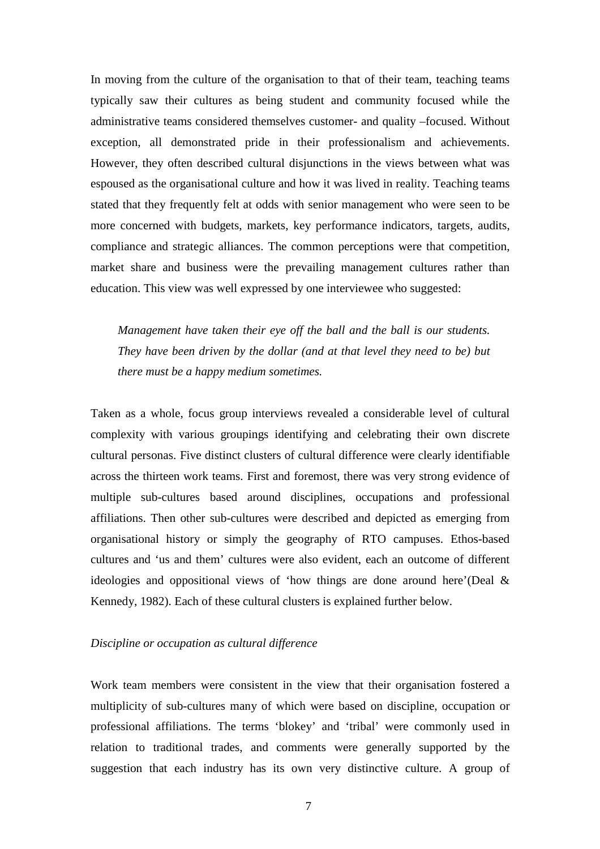In moving from the culture of the organisation to that of their team, teaching teams typically saw their cultures as being student and community focused while the administrative teams considered themselves customer- and quality –focused. Without exception, all demonstrated pride in their professionalism and achievements. However, they often described cultural disjunctions in the views between what was espoused as the organisational culture and how it was lived in reality. Teaching teams stated that they frequently felt at odds with senior management who were seen to be more concerned with budgets, markets, key performance indicators, targets, audits, compliance and strategic alliances. The common perceptions were that competition, market share and business were the prevailing management cultures rather than education. This view was well expressed by one interviewee who suggested:

*Management have taken their eye off the ball and the ball is our students. They have been driven by the dollar (and at that level they need to be) but there must be a happy medium sometimes.*

Taken as a whole, focus group interviews revealed a considerable level of cultural complexity with various groupings identifying and celebrating their own discrete cultural personas. Five distinct clusters of cultural difference were clearly identifiable across the thirteen work teams. First and foremost, there was very strong evidence of multiple sub-cultures based around disciplines, occupations and professional affiliations. Then other sub-cultures were described and depicted as emerging from organisational history or simply the geography of RTO campuses. Ethos-based cultures and 'us and them' cultures were also evident, each an outcome of different ideologies and oppositional views of 'how things are done around here'(Deal & Kennedy, 1982). Each of these cultural clusters is explained further below.

## *Discipline or occupation as cultural difference*

Work team members were consistent in the view that their organisation fostered a multiplicity of sub-cultures many of which were based on discipline, occupation or professional affiliations. The terms 'blokey' and 'tribal' were commonly used in relation to traditional trades, and comments were generally supported by the suggestion that each industry has its own very distinctive culture. A group of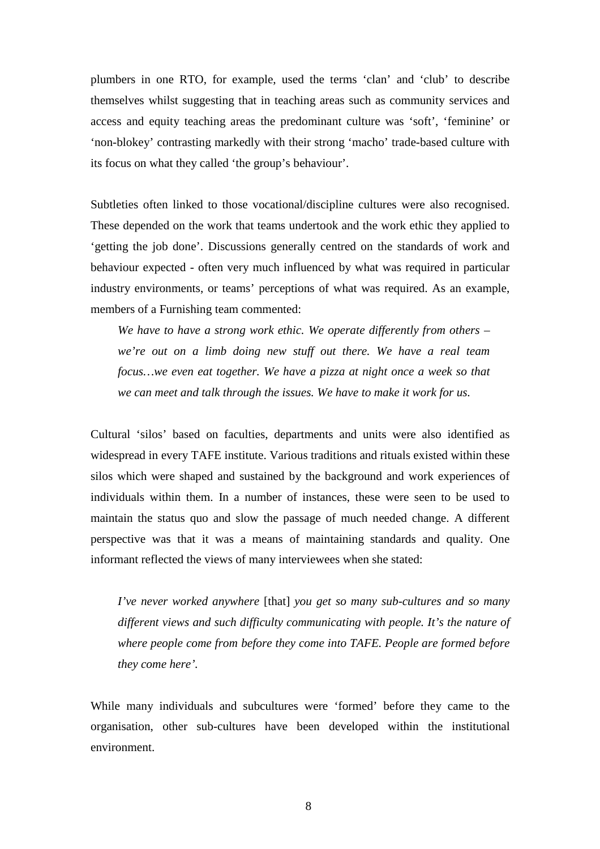plumbers in one RTO, for example, used the terms 'clan' and 'club' to describe themselves whilst suggesting that in teaching areas such as community services and access and equity teaching areas the predominant culture was 'soft', 'feminine' or 'non-blokey' contrasting markedly with their strong 'macho' trade-based culture with its focus on what they called 'the group's behaviour'.

Subtleties often linked to those vocational/discipline cultures were also recognised. These depended on the work that teams undertook and the work ethic they applied to 'getting the job done'. Discussions generally centred on the standards of work and behaviour expected - often very much influenced by what was required in particular industry environments, or teams' perceptions of what was required. As an example, members of a Furnishing team commented:

*We have to have a strong work ethic. We operate differently from others – we're out on a limb doing new stuff out there. We have a real team focus…we even eat together. We have a pizza at night once a week so that we can meet and talk through the issues. We have to make it work for us.* 

Cultural 'silos' based on faculties, departments and units were also identified as widespread in every TAFE institute. Various traditions and rituals existed within these silos which were shaped and sustained by the background and work experiences of individuals within them. In a number of instances, these were seen to be used to maintain the status quo and slow the passage of much needed change. A different perspective was that it was a means of maintaining standards and quality. One informant reflected the views of many interviewees when she stated:

*I've never worked anywhere* [that] *you get so many sub-cultures and so many different views and such difficulty communicating with people. It's the nature of where people come from before they come into TAFE. People are formed before they come here'.* 

While many individuals and subcultures were 'formed' before they came to the organisation, other sub-cultures have been developed within the institutional environment.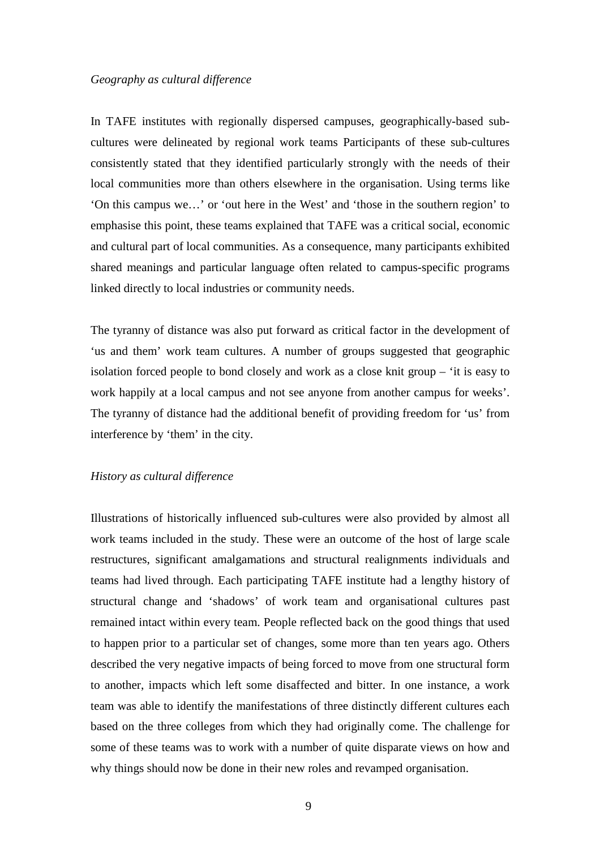## *Geography as cultural difference*

In TAFE institutes with regionally dispersed campuses, geographically-based subcultures were delineated by regional work teams Participants of these sub-cultures consistently stated that they identified particularly strongly with the needs of their local communities more than others elsewhere in the organisation. Using terms like 'On this campus we…' or 'out here in the West' and 'those in the southern region' to emphasise this point, these teams explained that TAFE was a critical social, economic and cultural part of local communities. As a consequence, many participants exhibited shared meanings and particular language often related to campus-specific programs linked directly to local industries or community needs.

The tyranny of distance was also put forward as critical factor in the development of 'us and them' work team cultures. A number of groups suggested that geographic isolation forced people to bond closely and work as a close knit group – 'it is easy to work happily at a local campus and not see anyone from another campus for weeks'. The tyranny of distance had the additional benefit of providing freedom for 'us' from interference by 'them' in the city.

#### *History as cultural difference*

Illustrations of historically influenced sub-cultures were also provided by almost all work teams included in the study. These were an outcome of the host of large scale restructures, significant amalgamations and structural realignments individuals and teams had lived through. Each participating TAFE institute had a lengthy history of structural change and 'shadows' of work team and organisational cultures past remained intact within every team. People reflected back on the good things that used to happen prior to a particular set of changes, some more than ten years ago. Others described the very negative impacts of being forced to move from one structural form to another, impacts which left some disaffected and bitter. In one instance, a work team was able to identify the manifestations of three distinctly different cultures each based on the three colleges from which they had originally come. The challenge for some of these teams was to work with a number of quite disparate views on how and why things should now be done in their new roles and revamped organisation.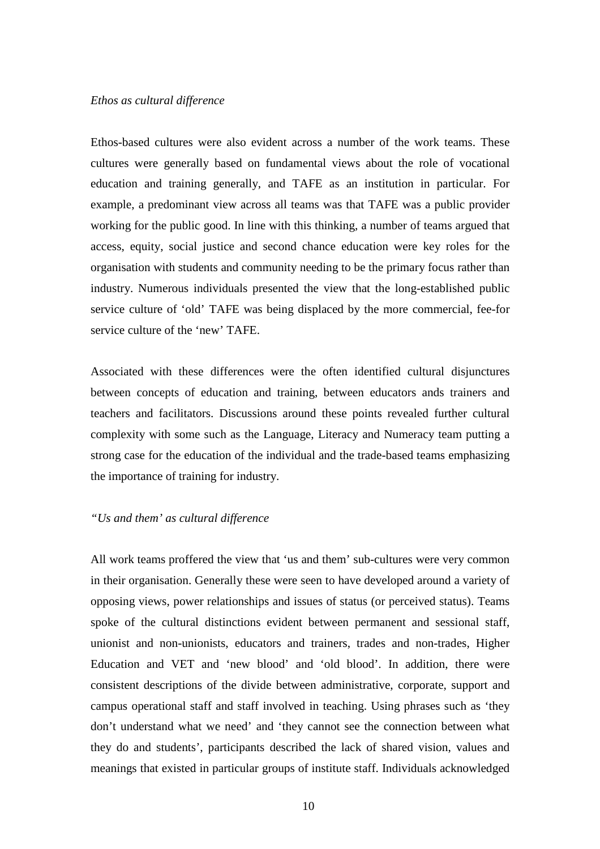#### *Ethos as cultural difference*

Ethos-based cultures were also evident across a number of the work teams. These cultures were generally based on fundamental views about the role of vocational education and training generally, and TAFE as an institution in particular. For example, a predominant view across all teams was that TAFE was a public provider working for the public good. In line with this thinking, a number of teams argued that access, equity, social justice and second chance education were key roles for the organisation with students and community needing to be the primary focus rather than industry. Numerous individuals presented the view that the long-established public service culture of 'old' TAFE was being displaced by the more commercial, fee-for service culture of the 'new' TAFE.

Associated with these differences were the often identified cultural disjunctures between concepts of education and training, between educators ands trainers and teachers and facilitators. Discussions around these points revealed further cultural complexity with some such as the Language, Literacy and Numeracy team putting a strong case for the education of the individual and the trade-based teams emphasizing the importance of training for industry.

## *"Us and them' as cultural difference*

All work teams proffered the view that 'us and them' sub-cultures were very common in their organisation. Generally these were seen to have developed around a variety of opposing views, power relationships and issues of status (or perceived status). Teams spoke of the cultural distinctions evident between permanent and sessional staff, unionist and non-unionists, educators and trainers, trades and non-trades, Higher Education and VET and 'new blood' and 'old blood'. In addition, there were consistent descriptions of the divide between administrative, corporate, support and campus operational staff and staff involved in teaching. Using phrases such as 'they don't understand what we need' and 'they cannot see the connection between what they do and students', participants described the lack of shared vision, values and meanings that existed in particular groups of institute staff. Individuals acknowledged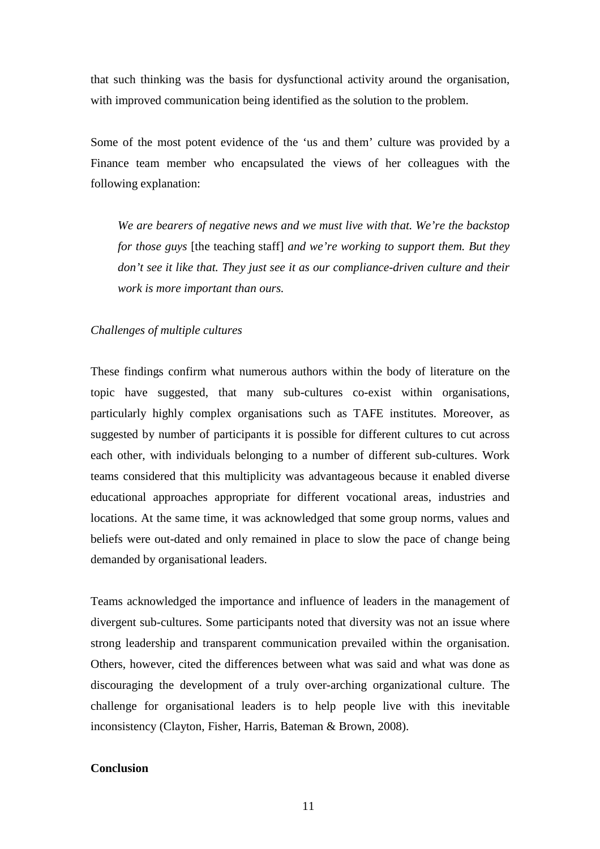that such thinking was the basis for dysfunctional activity around the organisation, with improved communication being identified as the solution to the problem.

Some of the most potent evidence of the 'us and them' culture was provided by a Finance team member who encapsulated the views of her colleagues with the following explanation:

*We are bearers of negative news and we must live with that. We're the backstop for those guys* [the teaching staff] *and we're working to support them. But they don't see it like that. They just see it as our compliance-driven culture and their work is more important than ours.* 

#### *Challenges of multiple cultures*

These findings confirm what numerous authors within the body of literature on the topic have suggested, that many sub-cultures co-exist within organisations, particularly highly complex organisations such as TAFE institutes. Moreover, as suggested by number of participants it is possible for different cultures to cut across each other, with individuals belonging to a number of different sub-cultures. Work teams considered that this multiplicity was advantageous because it enabled diverse educational approaches appropriate for different vocational areas, industries and locations. At the same time, it was acknowledged that some group norms, values and beliefs were out-dated and only remained in place to slow the pace of change being demanded by organisational leaders.

Teams acknowledged the importance and influence of leaders in the management of divergent sub-cultures. Some participants noted that diversity was not an issue where strong leadership and transparent communication prevailed within the organisation. Others, however, cited the differences between what was said and what was done as discouraging the development of a truly over-arching organizational culture. The challenge for organisational leaders is to help people live with this inevitable inconsistency (Clayton, Fisher, Harris, Bateman & Brown, 2008).

# **Conclusion**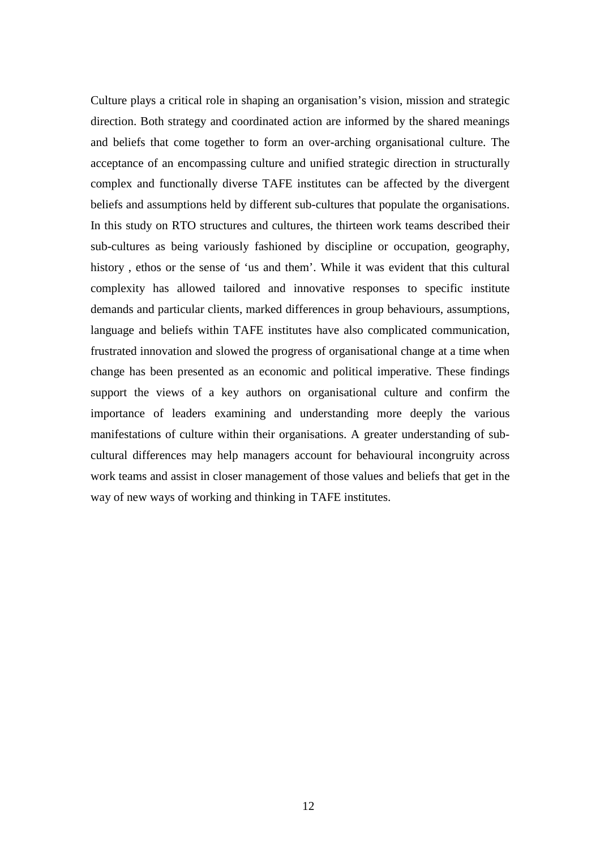Culture plays a critical role in shaping an organisation's vision, mission and strategic direction. Both strategy and coordinated action are informed by the shared meanings and beliefs that come together to form an over-arching organisational culture. The acceptance of an encompassing culture and unified strategic direction in structurally complex and functionally diverse TAFE institutes can be affected by the divergent beliefs and assumptions held by different sub-cultures that populate the organisations. In this study on RTO structures and cultures, the thirteen work teams described their sub-cultures as being variously fashioned by discipline or occupation, geography, history , ethos or the sense of 'us and them'. While it was evident that this cultural complexity has allowed tailored and innovative responses to specific institute demands and particular clients, marked differences in group behaviours, assumptions, language and beliefs within TAFE institutes have also complicated communication, frustrated innovation and slowed the progress of organisational change at a time when change has been presented as an economic and political imperative. These findings support the views of a key authors on organisational culture and confirm the importance of leaders examining and understanding more deeply the various manifestations of culture within their organisations. A greater understanding of subcultural differences may help managers account for behavioural incongruity across work teams and assist in closer management of those values and beliefs that get in the way of new ways of working and thinking in TAFE institutes.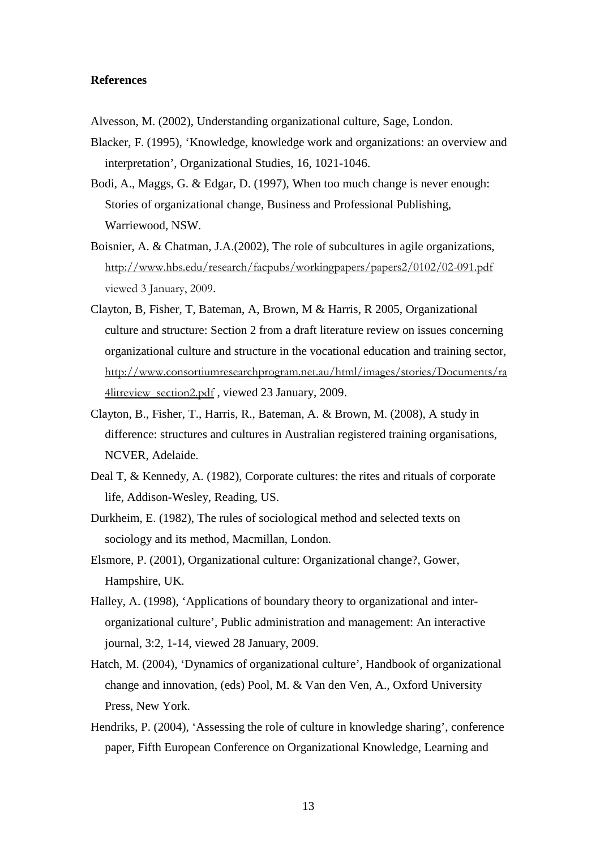## **References**

- Alvesson, M. (2002), Understanding organizational culture, Sage, London.
- Blacker, F. (1995), 'Knowledge, knowledge work and organizations: an overview and interpretation', Organizational Studies, 16, 1021-1046.
- Bodi, A., Maggs, G. & Edgar, D. (1997), When too much change is never enough: Stories of organizational change, Business and Professional Publishing, Warriewood, NSW.
- Boisnier, A. & Chatman, J.A.(2002), The role of subcultures in agile organizations, http://www.hbs.edu/research/facpubs/workingpapers/papers2/0102/02-091.pdf viewed 3 January, 2009.
- Clayton, B, Fisher, T, Bateman, A, Brown, M & Harris, R 2005, Organizational culture and structure: Section 2 from a draft literature review on issues concerning organizational culture and structure in the vocational education and training sector, http://www.consortiumresearchprogram.net.au/html/images/stories/Documents/ra 4litreview\_section2.pdf , viewed 23 January, 2009.
- Clayton, B., Fisher, T., Harris, R., Bateman, A. & Brown, M. (2008), A study in difference: structures and cultures in Australian registered training organisations, NCVER, Adelaide.
- Deal T, & Kennedy, A. (1982), Corporate cultures: the rites and rituals of corporate life, Addison-Wesley, Reading, US.
- Durkheim, E. (1982), The rules of sociological method and selected texts on sociology and its method, Macmillan, London.
- Elsmore, P. (2001), Organizational culture: Organizational change?, Gower, Hampshire, UK.
- Halley, A. (1998), 'Applications of boundary theory to organizational and interorganizational culture', Public administration and management: An interactive journal, 3:2, 1-14, viewed 28 January, 2009.
- Hatch, M. (2004), 'Dynamics of organizational culture', Handbook of organizational change and innovation, (eds) Pool, M. & Van den Ven, A., Oxford University Press, New York.
- Hendriks, P. (2004), 'Assessing the role of culture in knowledge sharing', conference paper, Fifth European Conference on Organizational Knowledge, Learning and